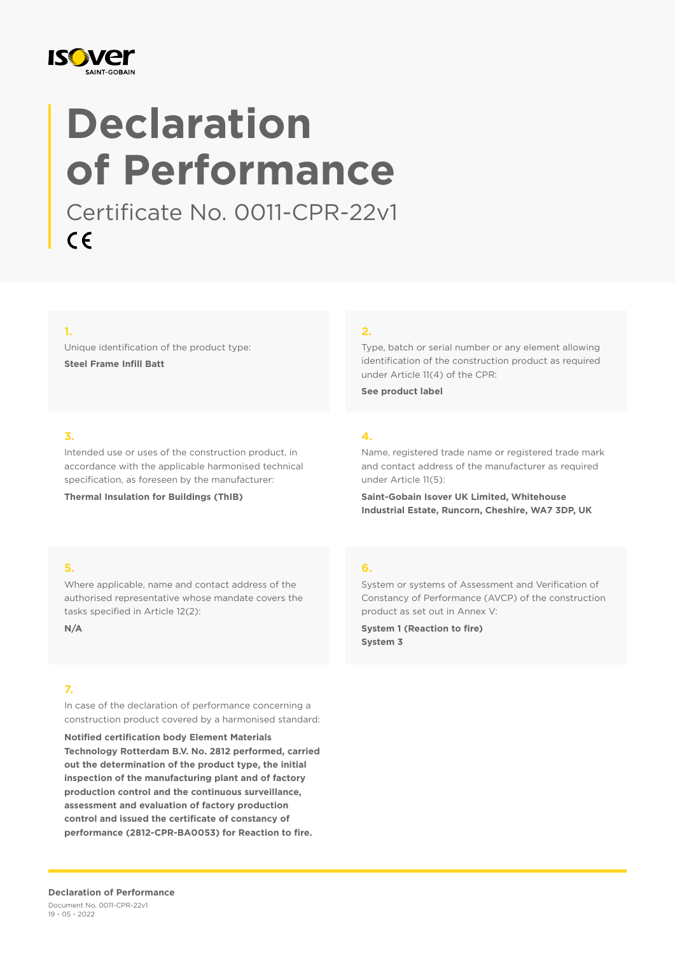

# **Declaration of Performance**

Certificate No. 0011-CPR-22v1  $C \in$ 

#### **1.**

Unique identification of the product type: **Steel Frame Infill Batt**

#### **2.**

Type, batch or serial number or any element allowing identification of the construction product as required under Article 11(4) of the CPR:

**See product label**

#### **3.**

Intended use or uses of the construction product, in accordance with the applicable harmonised technical specification, as foreseen by the manufacturer:

**Thermal Insulation for Buildings (ThIB)**

## **4.**

Name, registered trade name or registered trade mark and contact address of the manufacturer as required under Article 11(5):

**Saint-Gobain Isover UK Limited, Whitehouse Industrial Estate, Runcorn, Cheshire, WA7 3DP, UK**

#### **5.**

Where applicable, name and contact address of the authorised representative whose mandate covers the tasks specified in Article 12(2):

**N/A**

#### **7.**

In case of the declaration of performance concerning a construction product covered by a harmonised standard:

**Notified certification body Element Materials Technology Rotterdam B.V. No. 2812 performed, carried out the determination of the product type, the initial inspection of the manufacturing plant and of factory production control and the continuous surveillance, assessment and evaluation of factory production control and issued the certificate of constancy of performance (2812-CPR-BA0053) for Reaction to fire.**

#### **6.**

System or systems of Assessment and Verification of Constancy of Performance (AVCP) of the construction product as set out in Annex V:

**System 1 (Reaction to fire) System 3**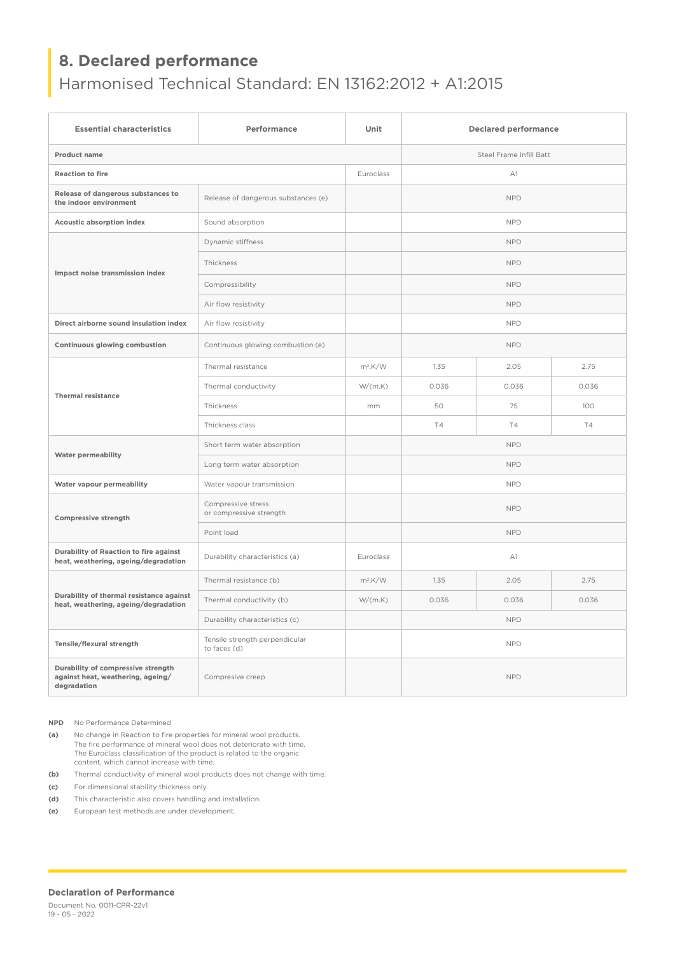## **8. Declared performance**

## Harmonised Technical Standard: EN 13162:2012 + A1:2015

| <b>Essential characteristics</b>                                                       | Performance                                    | Unit                    | <b>Declared performance</b> |           |       |
|----------------------------------------------------------------------------------------|------------------------------------------------|-------------------------|-----------------------------|-----------|-------|
| Product name                                                                           |                                                | Steel Frame Infill Batt |                             |           |       |
| <b>Reaction to fire</b>                                                                |                                                | Euroclass               | A1                          |           |       |
| Release of dangerous substances to<br>the indoor environment                           | Release of dangerous substances (e)            |                         | <b>NPD</b>                  |           |       |
| Acoustic absorption index                                                              | Sound absorption                               |                         | <b>NPD</b>                  |           |       |
| Impact noise transmission index                                                        | Dynamic stiffness                              |                         | <b>NPD</b>                  |           |       |
|                                                                                        | Thickness                                      |                         | <b>NPD</b>                  |           |       |
|                                                                                        | Compressibility                                |                         | <b>NPD</b>                  |           |       |
|                                                                                        | Air flow resistivity                           |                         | <b>NPD</b>                  |           |       |
| Direct airborne sound insulation index                                                 | Air flow resistivity                           |                         | <b>NPD</b>                  |           |       |
| Continuous glowing combustion                                                          | Continuous glowing combustion (e)              |                         | <b>NPD</b>                  |           |       |
| <b>Thermal resistance</b>                                                              | Thermal resistance                             | $m^2$ .K/W              | 1.35                        | 2.05      | 2.75  |
|                                                                                        | Thermal conductivity                           | W/(m.K)                 | 0.036                       | 0.036     | 0.036 |
|                                                                                        | Thickness                                      | mm                      | 50                          | 75        | 100   |
|                                                                                        | Thickness class                                |                         | <b>T4</b>                   | <b>T4</b> | T4    |
| <b>Water permeability</b>                                                              | Short term water absorption                    |                         | <b>NPD</b>                  |           |       |
|                                                                                        | Long term water absorption                     |                         | <b>NPD</b>                  |           |       |
| Water vapour permeability                                                              | Water vapour transmission                      |                         | <b>NPD</b>                  |           |       |
| Compressive strength                                                                   | Compressive stress<br>or compressive strength  |                         | <b>NPD</b>                  |           |       |
|                                                                                        | Point load                                     |                         | <b>NPD</b>                  |           |       |
| Durability of Reaction to fire against<br>heat, weathering, ageing/degradation         | Durability characteristics (a)                 | Euroclass               | A1                          |           |       |
| Durability of thermal resistance against<br>heat, weathering, ageing/degradation       | Thermal resistance (b)                         | $m^2$ .K/W              | 1.35                        | 2.05      | 2.75  |
|                                                                                        | Thermal conductivity (b)                       | W/(m.K)                 | 0.036                       | 0.036     | 0.036 |
|                                                                                        | Durability characteristics (c)                 |                         | <b>NPD</b>                  |           |       |
| Tensile/flexural strength                                                              | Tensile strength perpendicular<br>to faces (d) |                         | <b>NPD</b>                  |           |       |
| Durability of compressive strength<br>against heat, weathering, ageing/<br>degradation | Compresive creep                               |                         | <b>NPD</b>                  |           |       |

**NPD** No Performance Determined

**(a)** No change in Reaction to fire properties for mineral wool products. The fire performance of mineral wool does not deteriorate with time. The Euroclass classification of the product is related to the organic content, which cannot increase with time.

**(b)** Thermal conductivity of mineral wool products does not change with time.

**(c)** For dimensional stability thickness only.

**(d)** This characteristic also covers handling and installation.

**(e)** European test methods are under development.

#### **Declaration of Performance**

Document No. 0011-CPR-22v1 19 - 05 - 2022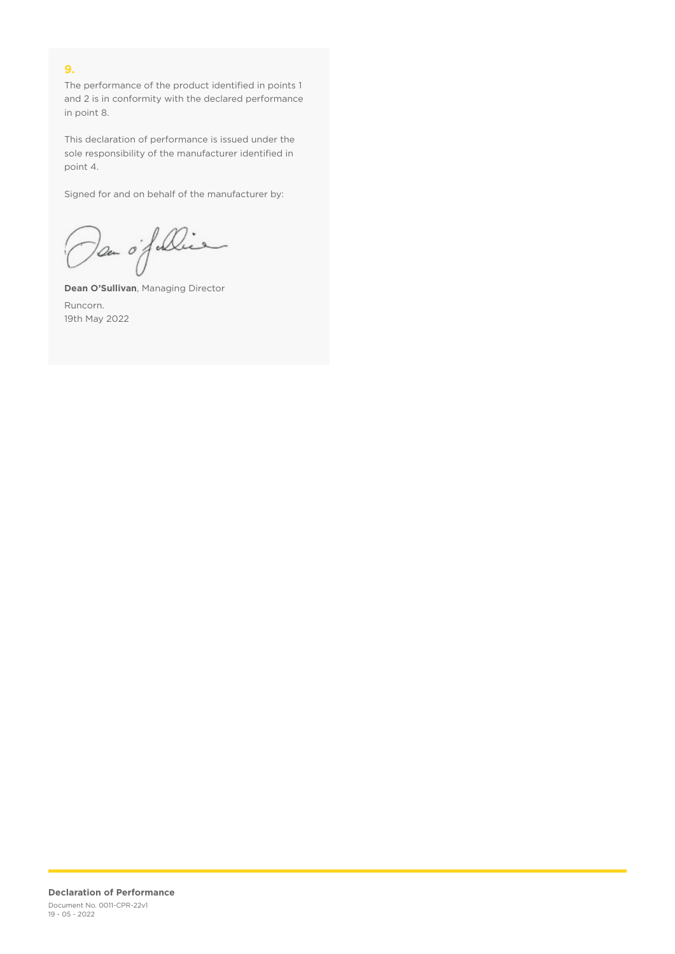### **9.**

The performance of the product identified in points 1 and 2 is in conformity with the declared performance in point 8.

This declaration of performance is issued under the sole responsibility of the manufacturer identified in point 4.

Signed for and on behalf of the manufacturer by:

Dan of Die

**Dean O'Sullivan**, Managing Director Runcorn. 19th May 2022